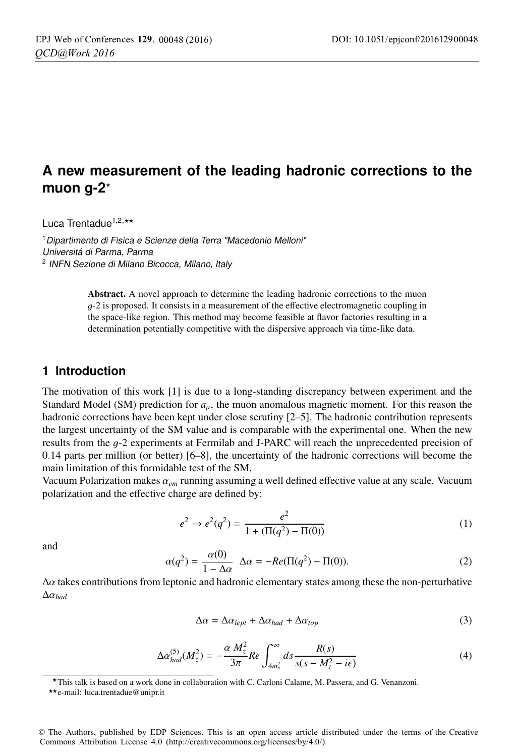## **A new measurement of the leading hadronic corrections to the muon g-2**-

Luca Trentadue<sup>1,2,\*\*</sup>

<sup>1</sup> Dipartimento di Fisica e Scienze della Terra "Macedonio Melloni" Universitá di Parma, Parma <sup>2</sup> INFN Sezione di Milano Bicocca, Milano, Italy

> Abstract. A novel approach to determine the leading hadronic corrections to the muon  $q-2$  is proposed. It consists in a measurement of the effective electromagnetic coupling in the space-like region. This method may become feasible at flavor factories resulting in a determination potentially competitive with the dispersive approach via time-like data.

#### **1 Introduction**

The motivation of this work [1] is due to a long-standing discrepancy between experiment and the Standard Model (SM) prediction for *a*μ, the muon anomalous magnetic moment. For this reason the hadronic corrections have been kept under close scrutiny [2–5]. The hadronic contribution represents the largest uncertainty of the SM value and is comparable with the experimental one. When the new results from the g-2 experiments at Fermilab and J-PARC will reach the unprecedented precision of 0.14 parts per million (or better) [6–8], the uncertainty of the hadronic corrections will become the main limitation of this formidable test of the SM.

Vacuum Polarization makes α*em* running assuming a well defined effective value at any scale. Vacuum polarization and the effective charge are defined by:

$$
e^{2} \rightarrow e^{2}(q^{2}) = \frac{e^{2}}{1 + (\Pi(q^{2}) - \Pi(0))}
$$
\n(1)

and

$$
\alpha(q^2) = \frac{\alpha(0)}{1 - \Delta\alpha} \quad \Delta\alpha = -Re(\Pi(q^2) - \Pi(0)).
$$
\n(2)

 $\Delta \alpha$  takes contributions from leptonic and hadronic elementary states among these the non-perturbative  $\Delta \alpha_{had}$ 

$$
\Delta \alpha = \Delta \alpha_{lept} + \Delta \alpha_{had} + \Delta \alpha_{top} \tag{3}
$$

$$
\Delta \alpha_{had}^{(5)}(M_z^2) = -\frac{\alpha}{3\pi} \frac{M_z^2}{Re} \int_{4m_\pi^2}^{\infty} ds \frac{R(s)}{s(s - M_z^2 - i\epsilon)} \tag{4}
$$

-This talk is based on a work done in collaboration with C. Carloni Calame, M. Passera, and G. Venanzoni.

© The Authors, published by EDP Sciences. This is an open access article distributed under the terms of the Creative Commons Attribution License 4.0 (http://creativecommons.org/licenses/by/4.0/).

<sup>\*\*</sup> e-mail: luca.trentadue@unipr.it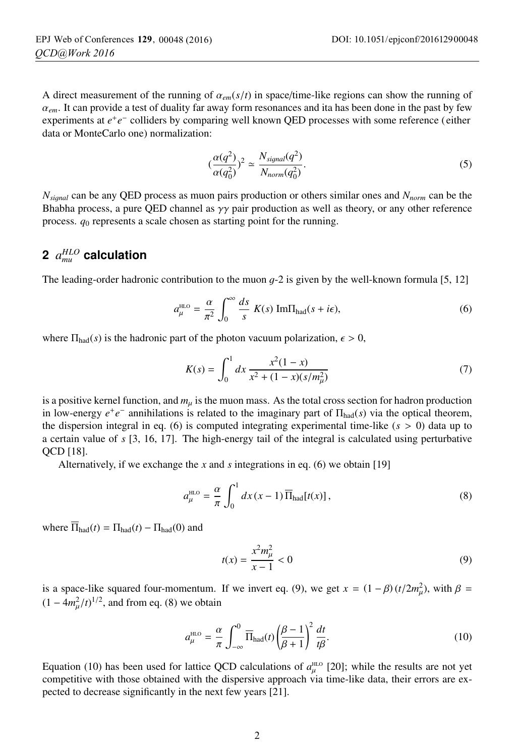A direct measurement of the running of  $\alpha_{em}(s/t)$  in space/time-like regions can show the running of  $\alpha_{em}$ . It can provide a test of duality far away form resonances and ita has been done in the past by few experiments at *e*+*e*<sup>−</sup> colliders by comparing well known QED processes with some reference (either data or MonteCarlo one) normalization:

$$
(\frac{\alpha(q^2)}{\alpha(q_0^2)})^2 \simeq \frac{N_{signal}(q^2)}{N_{norm}(q_0^2)}.
$$
\n(5)

*Nsi*g*nal* can be any QED process as muon pairs production or others similar ones and *Nnorm* can be the Bhabha process, a pure QED channel as  $\gamma\gamma$  pair production as well as theory, or any other reference process. *q*<sup>0</sup> represents a scale chosen as starting point for the running.

# **2** *aHLO mu* **calculation**

The leading-order hadronic contribution to the muon  $q-2$  is given by the well-known formula [5, 12]

$$
a_{\mu}^{\text{HLO}} = \frac{\alpha}{\pi^2} \int_0^{\infty} \frac{ds}{s} K(s) \text{Im}\Pi_{\text{had}}(s + i\epsilon), \tag{6}
$$

where  $\Pi_{\text{had}}(s)$  is the hadronic part of the photon vacuum polarization,  $\epsilon > 0$ ,

$$
K(s) = \int_0^1 dx \, \frac{x^2(1-x)}{x^2 + (1-x)(s/m_\mu^2)}\tag{7}
$$

is a positive kernel function, and  $m_\mu$  is the muon mass. As the total cross section for hadron production in low-energy  $e^+e^-$  annihilations is related to the imaginary part of  $\Pi_{\text{had}}(s)$  via the optical theorem, the dispersion integral in eq. (6) is computed integrating experimental time-like (*s* > 0) data up to a certain value of *s* [3, 16, 17]. The high-energy tail of the integral is calculated using perturbative QCD [18].

Alternatively, if we exchange the *x* and *s* integrations in eq. (6) we obtain [19]

$$
a_{\mu}^{\text{HLO}} = \frac{\alpha}{\pi} \int_0^1 dx \, (x - 1) \, \overline{\Pi}_{\text{had}}[t(x)], \tag{8}
$$

where  $\overline{\Pi}_{\text{had}}(t) = \Pi_{\text{had}}(t) - \Pi_{\text{had}}(0)$  and

$$
t(x) = \frac{x^2 m_{\mu}^2}{x - 1} < 0 \tag{9}
$$

is a space-like squared four-momentum. If we invert eq. (9), we get  $x = (1 - \beta)(t/2m_\mu^2)$ , with  $\beta =$  $(1 - 4m_\mu^2/t)^{1/2}$ , and from eq. (8) we obtain

$$
a_{\mu}^{\text{HLO}} = \frac{\alpha}{\pi} \int_{-\infty}^{0} \overline{\Pi}_{\text{had}}(t) \left(\frac{\beta - 1}{\beta + 1}\right)^{2} \frac{dt}{t\beta}.
$$
 (10)

Equation (10) has been used for lattice QCD calculations of  $a_{\mu}^{\text{\tiny{HLO}}}$  [20]; while the results are not yet competitive with those obtained with the dispersive approach via time-like data, their errors are expected to decrease significantly in the next few years [21].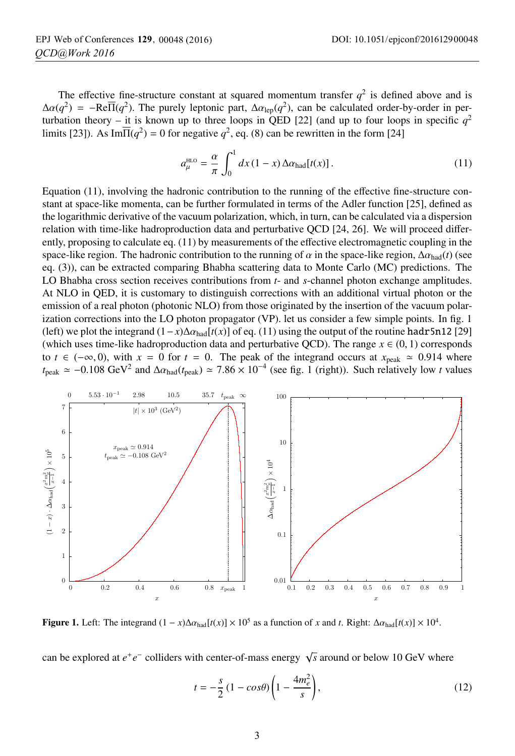The effective fine-structure constant at squared momentum transfer  $q^2$  is defined above and is  $\Delta \alpha(q^2) = -\text{Re}\overline{\Pi}(q^2)$ . The purely leptonic part,  $\Delta \alpha_{\text{lep}}(q^2)$ , can be calculated order-by-order in perturbation theory – it is known up to three loops in QED [22] (and up to four loops in specific  $q^2$ limits [23]). As Im $\overline{\Pi}(q^2) = 0$  for negative  $q^2$ , eq. (8) can be rewritten in the form [24]

$$
a_{\mu}^{\text{HLO}} = \frac{\alpha}{\pi} \int_0^1 dx (1 - x) \Delta \alpha_{\text{had}}[t(x)]. \tag{11}
$$

Equation (11), involving the hadronic contribution to the running of the effective fine-structure constant at space-like momenta, can be further formulated in terms of the Adler function [25], defined as the logarithmic derivative of the vacuum polarization, which, in turn, can be calculated via a dispersion relation with time-like hadroproduction data and perturbative QCD [24, 26]. We will proceed differently, proposing to calculate eq. (11) by measurements of the effective electromagnetic coupling in the space-like region. The hadronic contribution to the running of  $\alpha$  in the space-like region,  $\Delta \alpha_{\text{had}}(t)$  (see eq. (3)), can be extracted comparing Bhabha scattering data to Monte Carlo (MC) predictions. The LO Bhabha cross section receives contributions from *t*- and *s*-channel photon exchange amplitudes. At NLO in QED, it is customary to distinguish corrections with an additional virtual photon or the emission of a real photon (photonic NLO) from those originated by the insertion of the vacuum polarization corrections into the LO photon propagator (VP). let us consider a few simple points. In fig. 1 (left) we plot the integrand  $(1-x)\Delta\alpha_{\text{had}}[t(x)]$  of eq. (11) using the output of the routine hadr5n12 [29] (which uses time-like hadroproduction data and perturbative QCD). The range  $x \in (0, 1)$  corresponds to  $t \in (-\infty, 0)$ , with  $x = 0$  for  $t = 0$ . The peak of the integrand occurs at  $x_{\text{peak}} \approx 0.914$  where  $t_{\text{peak}} \approx -0.108 \text{ GeV}^2$  and  $\Delta \alpha_{\text{had}}(t_{\text{peak}}) \approx 7.86 \times 10^{-4}$  (see fig. 1 (right)). Such relatively low *t* values



Figure 1. Left: The integrand  $(1 - x)\Delta\alpha_{\text{had}}[t(x)] \times 10^5$  as a function of *x* and *t*. Right:  $\Delta\alpha_{\text{had}}[t(x)] \times 10^4$ .

can be explored at  $e^+e^-$  colliders with center-of-mass energy  $\sqrt{s}$  around or below 10 GeV where

$$
t = -\frac{s}{2} \left( 1 - \cos \theta \right) \left( 1 - \frac{4m_e^2}{s} \right),\tag{12}
$$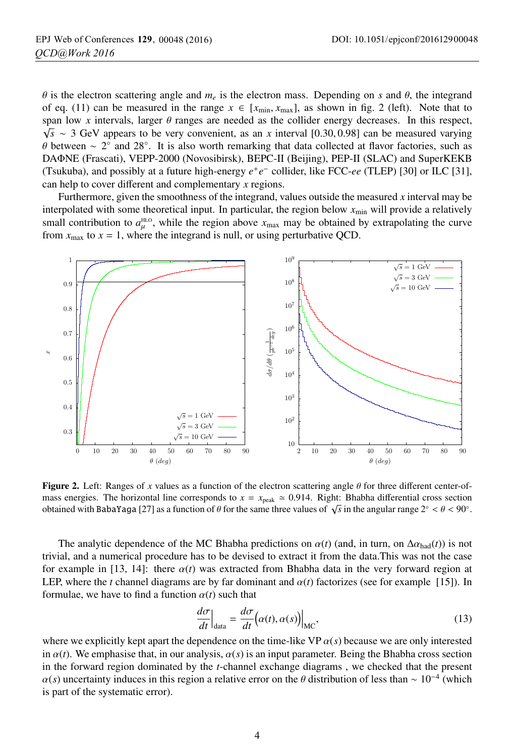$\theta$  is the electron scattering angle and  $m_e$  is the electron mass. Depending on *s* and  $\theta$ , the integrand of eq. (11) can be measured in the range  $x \in [x_{\text{min}}, x_{\text{max}}]$ , as shown in fig. 2 (left). Note that to span low x intervals, larger  $\theta$  ranges are needed as the collider energy decreases. In this respect, <sup>√</sup>*<sup>s</sup>* <sup>∼</sup> 3 GeV appears to be very convenient, as an *<sup>x</sup>* interval [0.30, <sup>0</sup>.98] can be measured varying  $\theta$  between ~ 2° and 28°. It is also worth remarking that data collected at flavor factories, such as DAΦNE (Frascati), VEPP-2000 (Novosibirsk), BEPC-II (Beijing), PEP-II (SLAC) and SuperKEKB (Tsukuba), and possibly at a future high-energy *e*+*e*<sup>−</sup> collider, like FCC-*ee* (TLEP) [30] or ILC [31], can help to cover different and complementary *x* regions.

Furthermore, given the smoothness of the integrand, values outside the measured *x* interval may be interpolated with some theoretical input. In particular, the region below  $x_{min}$  will provide a relatively small contribution to  $a_{\mu}^{\text{HLO}}$ , while the region above  $x_{\text{max}}$  may be obtained by extrapolating the curve from  $x_{\text{max}}$  to  $x = 1$ , where the integrand is null, or using perturbative QCD.



Figure 2. Left: Ranges of *<sup>x</sup>* values as a function of the electron scattering angle <sup>θ</sup> for three different center-ofmass energies. The horizontal line corresponds to  $x = x_{\text{peak}} \approx 0.914$ . Right: Bhabha differential cross section obtained with BabaYaga [27] as a function of  $\theta$  for the same three values of  $\sqrt{s}$  in the angular range  $2° < \theta < 90°$ .

The analytic dependence of the MC Bhabha predictions on  $\alpha(t)$  (and, in turn, on  $\Delta \alpha_{\text{had}}(t)$ ) is not trivial, and a numerical procedure has to be devised to extract it from the data.This was not the case for example in [13, 14]: there  $\alpha(t)$  was extracted from Bhabha data in the very forward region at LEP, where the *t* channel diagrams are by far dominant and  $\alpha(t)$  factorizes (see for example [15]). In formulae, we have to find a function  $\alpha(t)$  such that

$$
\left. \frac{d\sigma}{dt} \right|_{\text{data}} = \left. \frac{d\sigma}{dt} \Big( \alpha(t), \alpha(s) \Big) \right|_{\text{MC}},\tag{13}
$$

where we explicitly kept apart the dependence on the time-like VP  $\alpha(s)$  because we are only interested in  $\alpha(t)$ . We emphasise that, in our analysis,  $\alpha(s)$  is an input parameter. Being the Bhabha cross section in the forward region dominated by the *t*-channel exchange diagrams , we checked that the present  $\alpha(s)$  uncertainty induces in this region a relative error on the  $\theta$  distribution of less than ~ 10<sup>−4</sup> (which is part of the systematic error).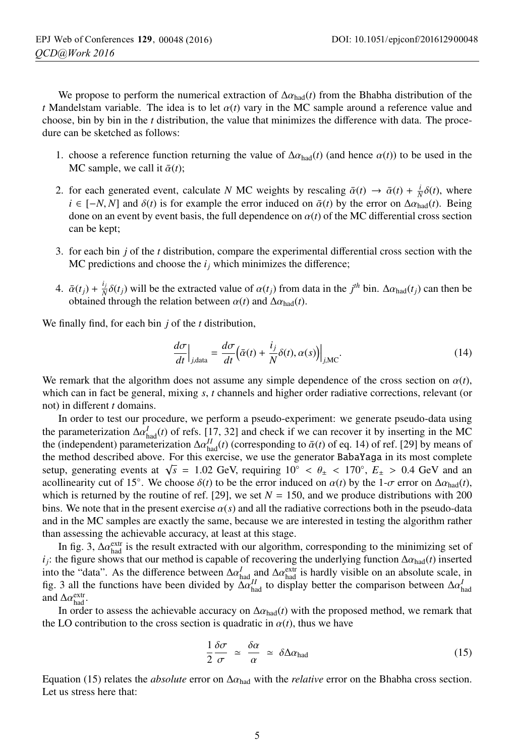We propose to perform the numerical extraction of  $\Delta \alpha_{\text{had}}(t)$  from the Bhabha distribution of the *t* Mandelstam variable. The idea is to let  $\alpha(t)$  vary in the MC sample around a reference value and choose, bin by bin in the *t* distribution, the value that minimizes the difference with data. The procedure can be sketched as follows:

- 1. choose a reference function returning the value of  $\Delta \alpha_{\text{had}}(t)$  (and hence  $\alpha(t)$ ) to be used in the MC sample, we call it  $\bar{\alpha}(t)$ :
- 2. for each generated event, calculate *N* MC weights by rescaling  $\bar{\alpha}(t) \rightarrow \bar{\alpha}(t) + \frac{i}{N}\delta(t)$ , where  $i \in [-N, N]$  and  $\delta(t)$  is for example the error induced on  $\bar{\alpha}(t)$  by the error on  $\Delta \alpha_{\text{had}}(t)$ . Being done on an event by event basis, the full dependence on  $\alpha(t)$  of the MC differential cross section can be kept;
- 3. for each bin *j* of the *t* distribution, compare the experimental differential cross section with the MC predictions and choose the  $i_j$  which minimizes the difference;
- 4.  $\bar{\alpha}(t_j) + \frac{i_j}{N} \delta(t_j)$  will be the extracted value of  $\alpha(t_j)$  from data in the  $j^{th}$  bin.  $\Delta \alpha_{had}(t_j)$  can then be obtained through the relation between  $\alpha(t)$  and  $\Delta \alpha_{\text{had}}(t)$ .

We finally find, for each bin *j* of the *t* distribution,

$$
\left. \frac{d\sigma}{dt} \right|_{j,\text{data}} = \left. \frac{d\sigma}{dt} \left( \bar{\alpha}(t) + \frac{i_j}{N} \delta(t), \alpha(s) \right) \right|_{j,\text{MC}}.
$$
\n(14)

We remark that the algorithm does not assume any simple dependence of the cross section on  $\alpha(t)$ , which can in fact be general, mixing *s*, *t* channels and higher order radiative corrections, relevant (or not) in different *t* domains.

In order to test our procedure, we perform a pseudo-experiment: we generate pseudo-data using the parameterization  $\Delta \alpha_{had}^I(t)$  of refs. [17, 32] and check if we can recover it by inserting in the MC the (independent) parameterization  $\Delta \alpha_{\text{had}}^{II}(t)$  (corresponding to  $\bar{\alpha}(t)$  of eq. 14) of ref. [29] by means of the method described above. For this exercise, we use the generator BabaYaga in its most complete setup, generating events at  $\sqrt{s}$  = 1.02 GeV, requiring 10<sup>°</sup> <  $\theta_{\pm}$  < 170<sup>°</sup>,  $E_{\pm}$  > 0.4 GeV and an acollinearity cut of 15°. We choose  $\delta(t)$  to be the error induced on  $\alpha(t)$  by the 1- $\sigma$  error on  $\Delta \alpha_{\text{had}}(t)$ , which is returned by the routine of ref. [29], we set  $N = 150$ , and we produce distributions with 200 bins. We note that in the present exercise  $\alpha(s)$  and all the radiative corrections both in the pseudo-data and in the MC samples are exactly the same, because we are interested in testing the algorithm rather than assessing the achievable accuracy, at least at this stage.

In fig. 3,  $\Delta a_{\text{had}}^{\text{extr}}$  is the result extracted with our algorithm, corresponding to the minimizing set of *i<sub>j</sub>*: the figure shows that our method is capable of recovering the underlying function  $\Delta \alpha_{\text{had}}(t)$  inserted into the "data". As the difference between  $\Delta \alpha_{\text{had}}^I$  and  $\Delta \alpha_{\text{had}}^{\text{extr}}$  is hardly visible on an absolute scale, in fig. 3 all the functions have been divided by  $\Delta \alpha_{\text{had}}^{Id}$  to display better the comparison between  $\Delta \alpha_{\text{had}}^{I}$ and  $\Delta \alpha_{\text{had}}^{\text{extr}}$ .

In order to assess the achievable accuracy on  $\Delta a_{\text{had}}(t)$  with the proposed method, we remark that the LO contribution to the cross section is quadratic in  $\alpha(t)$ , thus we have

$$
\frac{1}{2}\frac{\delta\sigma}{\sigma} \simeq \frac{\delta\alpha}{\alpha} \simeq \delta\Delta\alpha_{\text{had}} \tag{15}
$$

Equation (15) relates the *absolute* error on  $\Delta \alpha_{\text{had}}$  with the *relative* error on the Bhabha cross section. Let us stress here that: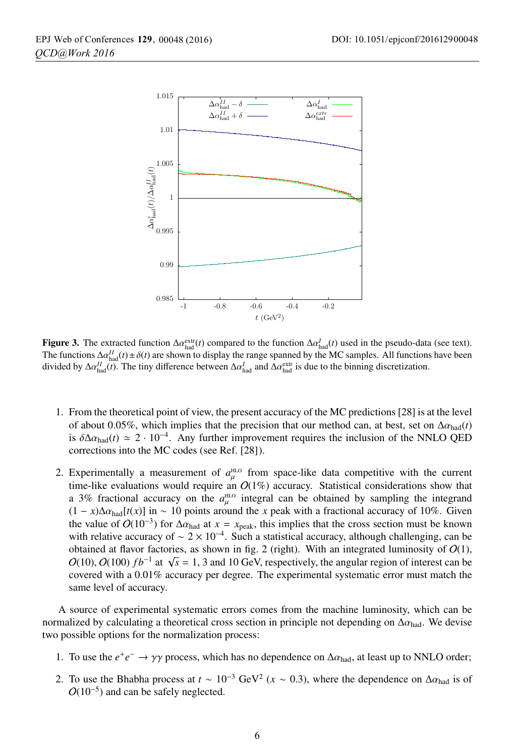

**Figure 3.** The extracted function  $\Delta \alpha_{\text{had}}^{\text{extr}}(t)$  compared to the function  $\Delta \alpha_{\text{had}}^I(t)$  used in the pseudo-data (see text).<br>The functions  $\Delta \alpha^{II}(t) + \delta(t)$  are shown to display the range spanned by the MC sample The functions  $\Delta \alpha_{\text{had}}^{II}(t) \pm \delta(t)$  are shown to display the range spanned by the MC samples. All functions have been divided by  $\Delta \alpha_{\text{had}}^{II}(\vec{t})$ . The tiny difference between  $\Delta \alpha_{\text{had}}^{I}$  and  $\Delta \alpha_{\text{had}}^{\text{extr}}$  is due to the binning discretization.

- 1. From the theoretical point of view, the present accuracy of the MC predictions [28] is at the level of about 0.05%, which implies that the precision that our method can, at best, set on  $\Delta \alpha_{\text{had}}(t)$ is  $\delta \Delta \alpha_{\text{had}}(t) \simeq 2 \cdot 10^{-4}$ . Any further improvement requires the inclusion of the NNLO QED corrections into the MC codes (see Ref. [28]).
- 2. Experimentally a measurement of  $a_{\mu}^{\text{HD}}$  from space-like data competitive with the current time-like evaluations would require an  $O(1\%)$  accuracy. Statistical considerations show that a 3% fractional accuracy on the  $a_{\mu}^{\text{HLO}}$  integral can be obtained by sampling the integrand  $(1 - x)\Delta\alpha_{\text{had}}[t(x)]$  in ~ 10 points around the *x* peak with a fractional accuracy of 10%. Given the value of  $O(10^{-3})$  for  $\Delta \alpha_{\text{had}}$  at  $x = x_{\text{peak}}$ , this implies that the cross section must be known with relative accuracy of  $\sim 2 \times 10^{-4}$ . Such a statistical accuracy, although challenging, can be obtained at flavor factories, as shown in fig. 2 (right). With an integrated luminosity of  $O(1)$ , O(10), O(100)  $fb^{-1}$  at  $\sqrt{s} = 1$ , 3 and 10 GeV, respectively, the angular region of interest can be covered with a 0.01% accuracy per degree. The experimental systematic error must match the same level of accuracy.

A source of experimental systematic errors comes from the machine luminosity, which can be normalized by calculating a theoretical cross section in principle not depending on  $\Delta a_{\text{had}}$ . We devise two possible options for the normalization process:

- 1. To use the  $e^+e^- \rightarrow \gamma \gamma$  process, which has no dependence on  $\Delta \alpha_{\text{had}}$ , at least up to NNLO order;
- 2. To use the Bhabha process at  $t \sim 10^{-3}$  GeV<sup>2</sup> ( $x \sim 0.3$ ), where the dependence on  $\Delta \alpha_{\text{had}}$  is of  $O(10^{-5})$  and can be safely neglected.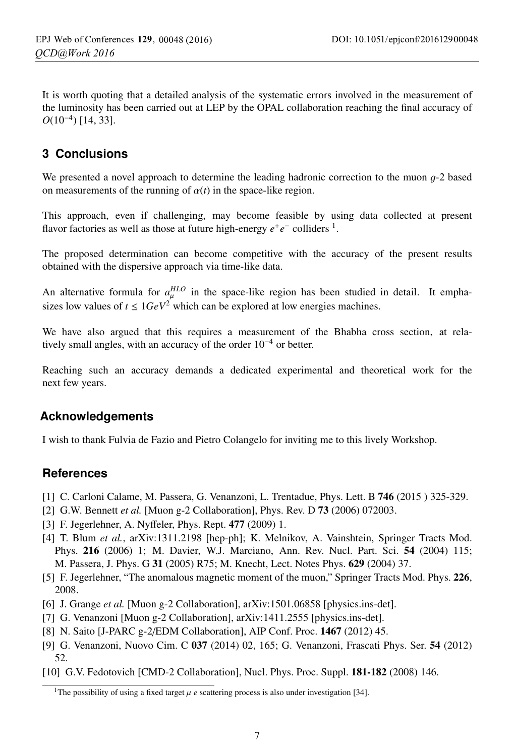It is worth quoting that a detailed analysis of the systematic errors involved in the measurement of the luminosity has been carried out at LEP by the OPAL collaboration reaching the final accuracy of *O*(10<sup>−4</sup>) [14, 33].

### **3 Conclusions**

We presented a novel approach to determine the leading hadronic correction to the muon  $g$ -2 based on measurements of the running of  $\alpha(t)$  in the space-like region.

This approach, even if challenging, may become feasible by using data collected at present flavor factories as well as those at future high-energy  $e^+e^-$  colliders <sup>1</sup>.

The proposed determination can become competitive with the accuracy of the present results obtained with the dispersive approach via time-like data.

An alternative formula for  $a_{\mu}^{HLO}$  in the space-like region has been studied in detail. It emphasizes low values of  $t \leq 1 GeV^2$  which can be explored at low energies machines.

We have also argued that this requires a measurement of the Bhabha cross section, at relatively small angles, with an accuracy of the order 10−<sup>4</sup> or better.

Reaching such an accuracy demands a dedicated experimental and theoretical work for the next few years.

#### **Acknowledgements**

I wish to thank Fulvia de Fazio and Pietro Colangelo for inviting me to this lively Workshop.

#### **References**

- [1] C. Carloni Calame, M. Passera, G. Venanzoni, L. Trentadue, Phys. Lett. B 746 (2015 ) 325-329.
- [2] G.W. Bennett *et al.* [Muon g-2 Collaboration], Phys. Rev. D **73** (2006) 072003.
- [3] F. Jegerlehner, A. Nyffeler, Phys. Rept. 477 (2009) 1.
- [4] T. Blum *et al.*, arXiv:1311.2198 [hep-ph]; K. Melnikov, A. Vainshtein, Springer Tracts Mod. Phys. 216 (2006) 1; M. Davier, W.J. Marciano, Ann. Rev. Nucl. Part. Sci. 54 (2004) 115; M. Passera, J. Phys. G 31 (2005) R75; M. Knecht, Lect. Notes Phys. 629 (2004) 37.
- [5] F. Jegerlehner, "The anomalous magnetic moment of the muon," Springer Tracts Mod. Phys. 226, 2008.
- [6] J. Grange *et al.* [Muon g-2 Collaboration], arXiv:1501.06858 [physics.ins-det].
- [7] G. Venanzoni [Muon g-2 Collaboration], arXiv:1411.2555 [physics.ins-det].
- [8] N. Saito [J-PARC g-2/EDM Collaboration], AIP Conf. Proc. 1467 (2012) 45.
- [9] G. Venanzoni, Nuovo Cim. C 037 (2014) 02, 165; G. Venanzoni, Frascati Phys. Ser. 54 (2012) 52.
- [10] G.V. Fedotovich [CMD-2 Collaboration], Nucl. Phys. Proc. Suppl. 181-182 (2008) 146.

<sup>&</sup>lt;sup>1</sup>The possibility of using a fixed target  $\mu$  *e* scattering process is also under investigation [34].